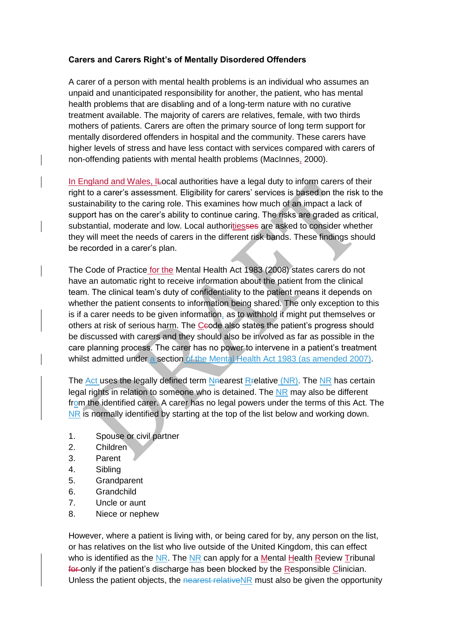## **Carers and Carers Right's of Mentally Disordered Offenders**

A carer of a person with mental health problems is an individual who assumes an unpaid and unanticipated responsibility for another, the patient, who has mental health problems that are disabling and of a long-term nature with no curative treatment available. The majority of carers are relatives, female, with two thirds mothers of patients. Carers are often the primary source of long term support for mentally disordered offenders in hospital and the community. These carers have higher levels of stress and have less contact with services compared with carers of non-offending patients with mental health problems (MacInnes, 2000).

In England and Wales, ILocal authorities have a legal duty to inform carers of their right to a carer's assessment. Eligibility for carers' services is based on the risk to the sustainability to the caring role. This examines how much of an impact a lack of support has on the carer's ability to continue caring. The risks are graded as critical, substantial, moderate and low. Local authoritiesses are asked to consider whether they will meet the needs of carers in the different risk bands. These findings should be recorded in a carer's plan.

The Code of Practice for the Mental Health Act 1983 (2008) states carers do not have an automatic right to receive information about the patient from the clinical team. The clinical team's duty of confidentiality to the patient means it depends on whether the patient consents to information being shared. The only exception to this is if a carer needs to be given information, as to withhold it might put themselves or others at risk of serious harm. The Ceode also states the patient's progress should be discussed with carers and they should also be involved as far as possible in the care planning process. The carer has no power to intervene in a patient's treatment whilst admitted under a section of the Mental Health Act 1983 (as amended 2007).

The Act uses the legally defined term Nearest Rrelative (NR). The NR has certain legal rights in relation to someone who is detained. The NR may also be different from the identified carer. A carer has no legal powers under the terms of this Act. The NR is normally identified by starting at the top of the list below and working down.

- 1. Spouse or civil partner
- 2. Children
- 3. Parent
- 4. Sibling
- 5. Grandparent
- 6. Grandchild
- 7. Uncle or aunt
- 8. Niece or nephew

However, where a patient is living with, or being cared for by, any person on the list, or has relatives on the list who live outside of the United Kingdom, this can effect who is identified as the  $NR$ . The  $NR$  can apply for a Mental Health Review Tribunal for only if the patient's discharge has been blocked by the Responsible Clinician. Unless the patient objects, the nearest relative NR must also be given the opportunity